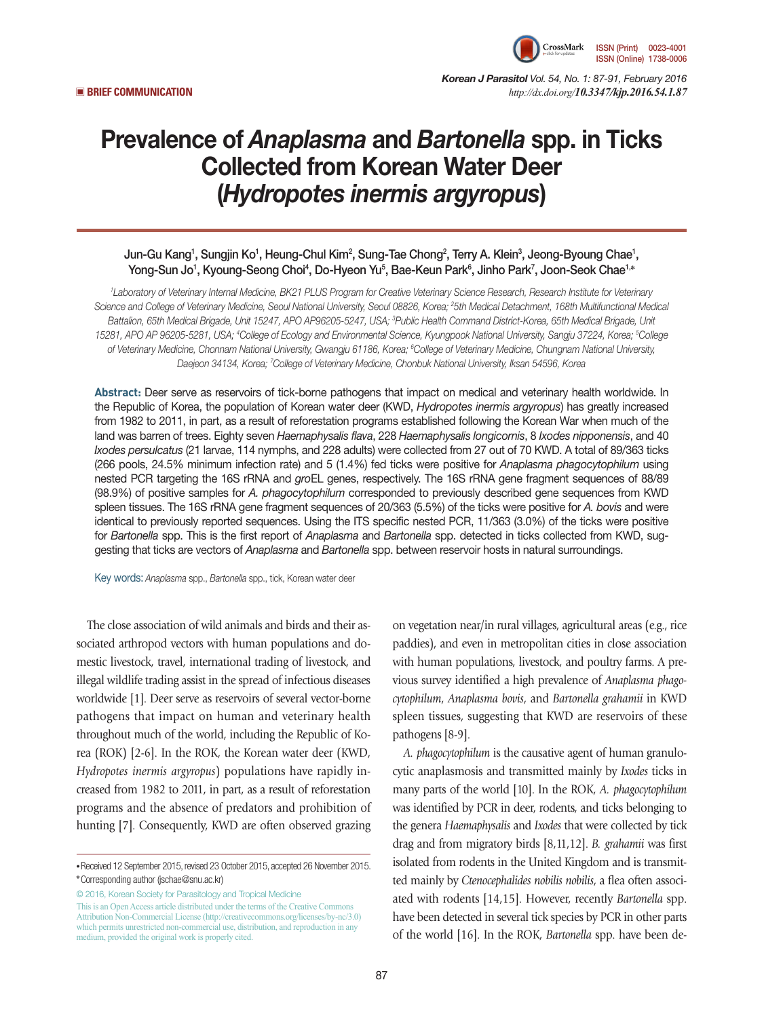

*Korean J Parasitol Vol. 54, No. 1: 87-91, February 2016*  ▣ **BRIEF COMMUNICATION** *http://dx.doi.org/10.3347/kjp.2016.54.1.87*

# Prevalence of *Anaplasma* and *Bartonella* spp. in Ticks Collected from Korean Water Deer (*Hydropotes inermis argyropus*)

## Jun-Gu Kang<sup>1</sup>, Sungjin Ko<sup>1</sup>, Heung-Chul Kim<sup>2</sup>, Sung-Tae Chong<sup>2</sup>, Terry A. Klein<sup>3</sup>, Jeong-Byoung Chae<sup>1</sup>, Yong-Sun Jo<sup>1</sup>, Kyoung-Seong Choi<sup>4</sup>, Do-Hyeon Yu<sup>5</sup>, Bae-Keun Park<sup>6</sup>, Jinho Park<sup>7</sup>, Joon-Seok Chae<sup>1,</sup>\*

*1 Laboratory of Veterinary Internal Medicine, BK21 PLUS Program for Creative Veterinary Science Research, Research Institute for Veterinary Science and College of Veterinary Medicine, Seoul National University, Seoul 08826, Korea; 2 5th Medical Detachment, 168th Multifunctional Medical Battalion, 65th Medical Brigade, Unit 15247, APO AP96205-5247, USA; 3 Public Health Command District-Korea, 65th Medical Brigade, Unit 15281, APO AP 96205-5281, USA; 4 College of Ecology and Environmental Science, Kyungpook National University, Sangju 37224, Korea; 5 College*  of Veterinary Medicine, Chonnam National University, Gwangju 61186, Korea; <sup>e</sup>College of Veterinary Medicine, Chungnam National University, *Daejeon 34134, Korea; 7 College of Veterinary Medicine, Chonbuk National University, Iksan 54596, Korea*

**Abstract:** Deer serve as reservoirs of tick-borne pathogens that impact on medical and veterinary health worldwide. In the Republic of Korea, the population of Korean water deer (KWD, *Hydropotes inermis argyropus*) has greatly increased from 1982 to 2011, in part, as a result of reforestation programs established following the Korean War when much of the land was barren of trees. Eighty seven *Haemaphysalis flava*, 228 *Haemaphysalis longicornis*, 8 *Ixodes nipponensis*, and 40 *Ixodes persulcatus* (21 larvae, 114 nymphs, and 228 adults) were collected from 27 out of 70 KWD. A total of 89/363 ticks (266 pools, 24.5% minimum infection rate) and 5 (1.4%) fed ticks were positive for *Anaplasma phagocytophilum* using nested PCR targeting the 16S rRNA and *gro*EL genes, respectively. The 16S rRNA gene fragment sequences of 88/89 (98.9%) of positive samples for *A. phagocytophilum* corresponded to previously described gene sequences from KWD spleen tissues. The 16S rRNA gene fragment sequences of 20/363 (5.5%) of the ticks were positive for *A. bovis* and were identical to previously reported sequences. Using the ITS specific nested PCR, 11/363 (3.0%) of the ticks were positive for *Bartonella* spp. This is the first report of *Anaplasma* and *Bartonella* spp. detected in ticks collected from KWD, suggesting that ticks are vectors of *Anaplasma* and *Bartonella* spp. between reservoir hosts in natural surroundings.

Key words: *Anaplasma* spp., *Bartonella* spp., tick, Korean water deer

The close association of wild animals and birds and their associated arthropod vectors with human populations and domestic livestock, travel, international trading of livestock, and illegal wildlife trading assist in the spread of infectious diseases worldwide [1]. Deer serve as reservoirs of several vector-borne pathogens that impact on human and veterinary health throughout much of the world, including the Republic of Korea (ROK) [2-6]. In the ROK, the Korean water deer (KWD, *Hydropotes inermis argyropus*) populations have rapidly increased from 1982 to 2011, in part, as a result of reforestation programs and the absence of predators and prohibition of hunting [7]. Consequently, KWD are often observed grazing

© 2016, Korean Society for Parasitology and Tropical Medicine This is an Open Access article distributed under the terms of the Creative Commons Attribution Non-Commercial License (http://creativecommons.org/licenses/by-nc/3.0) which permits unrestricted non-commercial use, distribution, and reproduction in any medium, provided the original work is properly cited.

on vegetation near/in rural villages, agricultural areas (e.g., rice paddies), and even in metropolitan cities in close association with human populations, livestock, and poultry farms. A previous survey identified a high prevalence of *Anaplasma phagocytophilum*, *Anaplasma bovis*, and *Bartonella grahamii* in KWD spleen tissues, suggesting that KWD are reservoirs of these pathogens [8-9].

*A. phagocytophilum* is the causative agent of human granulocytic anaplasmosis and transmitted mainly by *Ixodes* ticks in many parts of the world [10]. In the ROK, *A. phagocytophilum* was identified by PCR in deer, rodents, and ticks belonging to the genera *Haemaphysalis* and *Ixodes* that were collected by tick drag and from migratory birds [8,11,12]. *B. grahamii* was first isolated from rodents in the United Kingdom and is transmitted mainly by *Ctenocephalides nobilis nobilis*, a flea often associated with rodents [14,15]. However, recently *Bartonella* spp. have been detected in several tick species by PCR in other parts of the world [16]. In the ROK, *Bartonella* spp. have been de-

**<sup>•</sup>**Received 12 September 2015, revised 23 October 2015, accepted 26 November 2015. **\***Corresponding author (jschae@snu.ac.kr)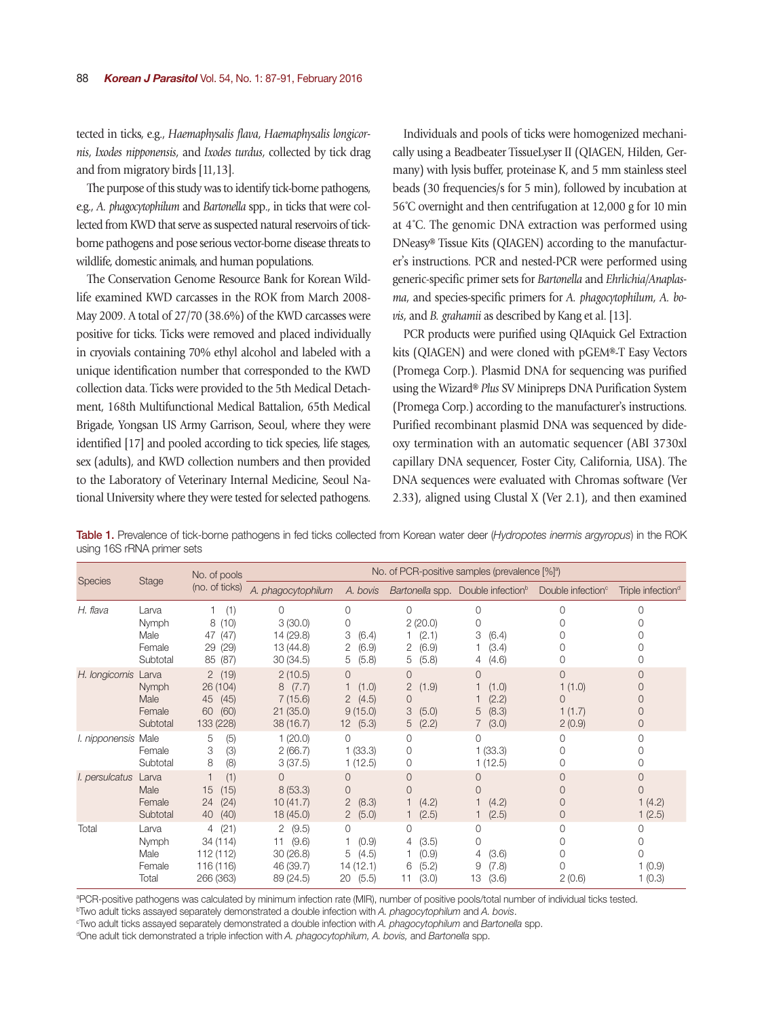tected in ticks, e.g., *Haemaphysalis flava*, *Haemaphysalis longicornis*, *Ixodes nipponensis*, and *Ixodes turdus*, collected by tick drag and from migratory birds [11,13].

The purpose of this study was to identify tick-borne pathogens, e.g., *A. phagocytophilum* and *Bartonella* spp., in ticks that were collected from KWD that serve as suspected natural reservoirs of tickborne pathogens and pose serious vector-borne disease threats to wildlife, domestic animals, and human populations.

The Conservation Genome Resource Bank for Korean Wildlife examined KWD carcasses in the ROK from March 2008- May 2009. A total of 27/70 (38.6%) of the KWD carcasses were positive for ticks. Ticks were removed and placed individually in cryovials containing 70% ethyl alcohol and labeled with a unique identification number that corresponded to the KWD collection data. Ticks were provided to the 5th Medical Detachment, 168th Multifunctional Medical Battalion, 65th Medical Brigade, Yongsan US Army Garrison, Seoul, where they were identified [17] and pooled according to tick species, life stages, sex (adults), and KWD collection numbers and then provided to the Laboratory of Veterinary Internal Medicine, Seoul National University where they were tested for selected pathogens.

Individuals and pools of ticks were homogenized mechanically using a Beadbeater TissueLyser II (QIAGEN, Hilden, Germany) with lysis buffer, proteinase K, and 5 mm stainless steel beads (30 frequencies/s for 5 min), followed by incubation at 56˚C overnight and then centrifugation at 12,000 g for 10 min at 4˚C. The genomic DNA extraction was performed using DNeasy® Tissue Kits (QIAGEN) according to the manufacturer's instructions. PCR and nested-PCR were performed using generic-specific primer sets for *Bartonella* and *Ehrlichia/Anaplasma*, and species-specific primers for *A. phagocytophilum*, *A. bovis*, and *B. grahamii* as described by Kang et al. [13].

PCR products were purified using QIAquick Gel Extraction kits (QIAGEN) and were cloned with pGEM®-T Easy Vectors (Promega Corp.). Plasmid DNA for sequencing was purified using the Wizard® *Plus* SV Minipreps DNA Purification System (Promega Corp.) according to the manufacturer's instructions. Purified recombinant plasmid DNA was sequenced by dideoxy termination with an automatic sequencer (ABI 3730xl capillary DNA sequencer, Foster City, California, USA). The DNA sequences were evaluated with Chromas software (Ver 2.33), aligned using Clustal X (Ver 2.1), and then examined

Table 1. Prevalence of tick-borne pathogens in fed ticks collected from Korean water deer (*Hydropotes inermis argyropus*) in the ROK using 16S rRNA primer sets

| <b>Species</b>      | Stage                                        | No. of pools<br>(no. of ticks)                                            | No. of PCR-positive samples (prevalence [%] <sup>a</sup> )  |                                                                                        |                                                                      |                                                                                              |                                             |                                     |
|---------------------|----------------------------------------------|---------------------------------------------------------------------------|-------------------------------------------------------------|----------------------------------------------------------------------------------------|----------------------------------------------------------------------|----------------------------------------------------------------------------------------------|---------------------------------------------|-------------------------------------|
|                     |                                              |                                                                           | A. phagocytophilum                                          | A. bovis                                                                               |                                                                      | Bartonella spp. Double infection <sup>b</sup> Double infection <sup><math>\circ</math></sup> |                                             | Triple infection <sup>d</sup>       |
| H. flava            | Larva<br>Nymph<br>Male<br>Female<br>Subtotal | (1)<br>(10)<br>8<br>47<br>(47)<br>29<br>(29)<br>85<br>(87)                | $\Omega$<br>3(30.0)<br>14 (29.8)<br>13 (44.8)<br>30(34.5)   | $\Omega$<br>0<br>3<br>(6.4)<br>2<br>(6.9)<br>5<br>(5.8)                                | 0<br>2(20.0)<br>(2.1)<br>(6.9)<br>2<br>(5.8)<br>5                    | 0<br>0<br>3<br>(6.4)<br>(3.4)<br>(4.6)<br>4                                                  | Ω                                           | Ω                                   |
| H. longicornis      | Larva<br>Nymph<br>Male<br>Female<br>Subtotal | 2(19)<br>26 (104)<br>45<br>(45)<br>60<br>(60)<br>133 (228)                | 2(10.5)<br>8(7.7)<br>7(15.6)<br>21(35.0)<br>38 (16.7)       | $\Omega$<br>(1.0)<br>$\overline{2}$<br>(4.5)<br>9(15.0)<br>(5.3)<br>12 <sup>7</sup>    | $\Omega$<br>$\overline{2}$<br>(1.9)<br>0<br>3<br>(5.0)<br>(2.2)<br>5 | $\Omega$<br>(1.0)<br>(2.2)<br>(8.3)<br>5<br>(3.0)                                            | $\Omega$<br>1(1.0)<br>0<br>1(1.7)<br>2(0.9) | $\Omega$<br>$\Omega$<br>0<br>0<br>0 |
| I. nipponensis Male | Female<br>Subtotal                           | (5)<br>5<br>(3)<br>3<br>8<br>(8)                                          | 1(20.0)<br>2(66.7)<br>3(37.5)                               | $\Omega$<br>1(33.3)<br>1(12.5)                                                         | $\Omega$<br>0<br>0                                                   | $\Omega$<br>1(33.3)<br>1(12.5)                                                               | 0                                           | $\Omega$<br>0                       |
| l. persulcatus      | Larva<br>Male<br>Female<br>Subtotal          | (1)<br>$\overline{\phantom{a}}$<br>15<br>(15)<br>(24)<br>24<br>40<br>(40) | $\Omega$<br>8(53.3)<br>10(41.7)<br>18 (45.0)                | $\overline{0}$<br>$\overline{0}$<br>$\overline{2}$<br>(8.3)<br>$\overline{2}$<br>(5.0) | 0<br>0<br>(4.2)<br>(2.5)                                             | 0<br>0<br>(4.2)<br>(2.5)                                                                     | 0<br>0                                      | 0<br>$\Omega$<br>1(4.2)<br>1(2.5)   |
| Total               | Larva<br>Nymph<br>Male<br>Female<br>Total    | (21)<br>$\overline{4}$<br>34 (114)<br>112 (112)<br>116 (116)<br>266 (363) | 2(9.5)<br>(9.6)<br>11<br>30(26.8)<br>46 (39.7)<br>89 (24.5) | 0<br>(0.9)<br>5<br>(4.5)<br>14 (12.1)<br>(5.5)<br>20                                   | 0<br>(3.5)<br>4<br>(0.9)<br>(5.2)<br>6<br>(3.0)<br>11                | $\mathbf 0$<br>$\Omega$<br>(3.6)<br>4<br>(7.8)<br>9<br>(3.6)<br>13                           | 0<br>2(0.6)                                 | 0<br>0<br>0<br>1(0.9)<br>1(0.3)     |

**PCR-positive pathogens was calculated by minimum infection rate (MIR), number of positive pools/total number of individual ticks tested.**<br>PTwo adult ticks assayed separately demonstrated a double infection with A. phagocy

<sup>b</sup>Two adult ticks assayed separately demonstrated a double infection with *A. phagocytophilum* and *A. bovis*.

Two adult ticks assayed separately demonstrated a double infection with *A. phagocytophilum* and *Bartonella* spp. d

One adult tick demonstrated a triple infection with *A. phagocytophilum, A. bovis,* and *Bartonella* spp.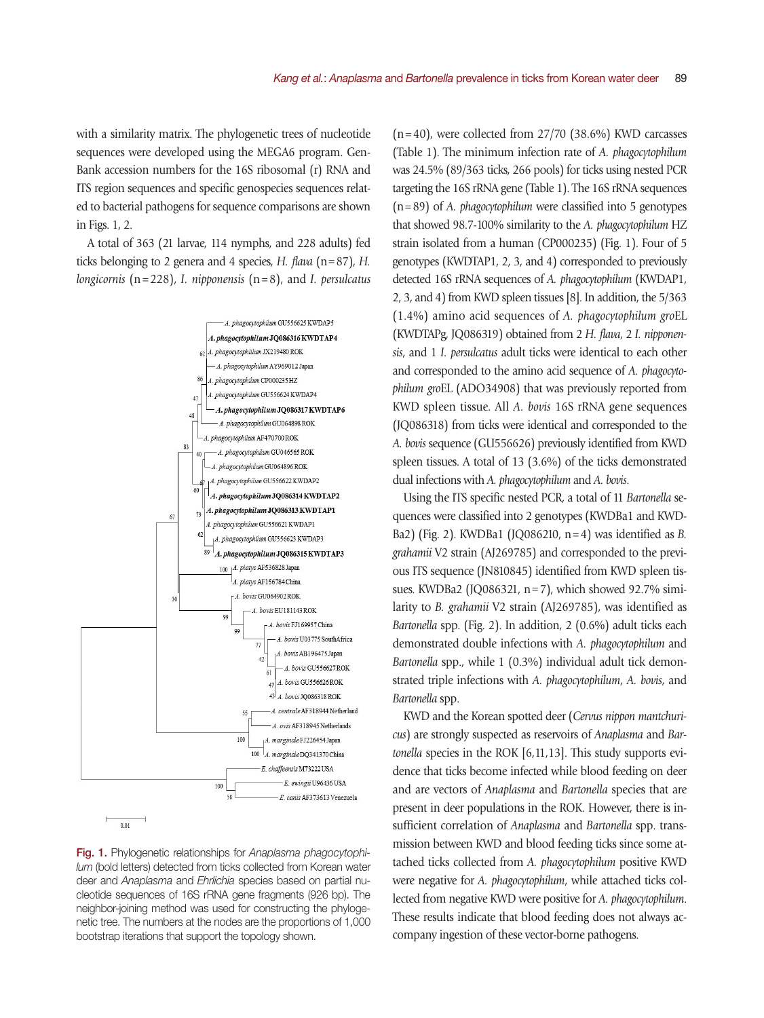with a similarity matrix. The phylogenetic trees of nucleotide sequences were developed using the MEGA6 program. Gen-Bank accession numbers for the 16S ribosomal (r) RNA and ITS region sequences and specific genospecies sequences related to bacterial pathogens for sequence comparisons are shown in Figs. 1, 2.

A total of 363 (21 larvae, 114 nymphs, and 228 adults) fed ticks belonging to 2 genera and 4 species, *H. flava* (n=87), *H. longicornis* (n=228), *I. nipponensis* (n=8), and *I. persulcatus*



Fig. 1. Phylogenetic relationships for *Anaplasma phagocytophilum* (bold letters) detected from ticks collected from Korean water deer and *Anaplasma* and *Ehrlichia* species based on partial nucleotide sequences of 16S rRNA gene fragments (926 bp). The neighbor-joining method was used for constructing the phylogenetic tree. The numbers at the nodes are the proportions of 1,000 bootstrap iterations that support the topology shown.

 $(n=40)$ , were collected from 27/70 (38.6%) KWD carcasses (Table 1). The minimum infection rate of *A. phagocytophilum* was 24.5% (89/363 ticks, 266 pools) for ticks using nested PCR targeting the 16S rRNA gene (Table 1). The 16S rRNA sequences (n=89) of *A. phagocytophilum* were classified into 5 genotypes that showed 98.7-100% similarity to the *A. phagocytophilum* HZ strain isolated from a human (CP000235) (Fig. 1). Four of 5 genotypes (KWDTAP1, 2, 3, and 4) corresponded to previously detected 16S rRNA sequences of *A. phagocytophilum* (KWDAP1, 2, 3, and 4) from KWD spleen tissues [8]. In addition, the 5/363 (1.4%) amino acid sequences of *A. phagocytophilum gro*EL (KWDTAPg, JQ086319) obtained from 2 *H. flava*, 2 *I. nipponensis*, and 1 *I. persulcatus* adult ticks were identical to each other and corresponded to the amino acid sequence of *A. phagocytophilum gro*EL (ADO34908) that was previously reported from KWD spleen tissue. All *A. bovis* 16S rRNA gene sequences (JQ086318) from ticks were identical and corresponded to the *A. bovis* sequence (GU556626) previously identified from KWD spleen tissues. A total of 13 (3.6%) of the ticks demonstrated dual infections with *A. phagocytophilum* and *A. bovis*.

Using the ITS specific nested PCR, a total of 11 *Bartonella* sequences were classified into 2 genotypes (KWDBa1 and KWD-Ba2) (Fig. 2). KWDBa1 (JQ086210, n=4) was identified as *B. grahamii* V2 strain (AJ269785) and corresponded to the previous ITS sequence (JN810845) identified from KWD spleen tissues. KWDBa2 (JQ086321, n=7), which showed 92.7% similarity to *B. grahamii* V2 strain (AJ269785), was identified as *Bartonella* spp. (Fig. 2). In addition, 2 (0.6%) adult ticks each demonstrated double infections with *A. phagocytophilum* and *Bartonella* spp., while 1 (0.3%) individual adult tick demonstrated triple infections with *A. phagocytophilum*, *A. bovis*, and *Bartonella* spp.

KWD and the Korean spotted deer (*Cervus nippon mantchuricus*) are strongly suspected as reservoirs of *Anaplasma* and *Bartonella* species in the ROK [6,11,13]. This study supports evidence that ticks become infected while blood feeding on deer and are vectors of *Anaplasma* and *Bartonella* species that are present in deer populations in the ROK. However, there is insufficient correlation of *Anaplasma* and *Bartonella* spp. transmission between KWD and blood feeding ticks since some attached ticks collected from *A. phagocytophilum* positive KWD were negative for *A. phagocytophilum*, while attached ticks collected from negative KWD were positive for *A. phagocytophilum*. These results indicate that blood feeding does not always accompany ingestion of these vector-borne pathogens.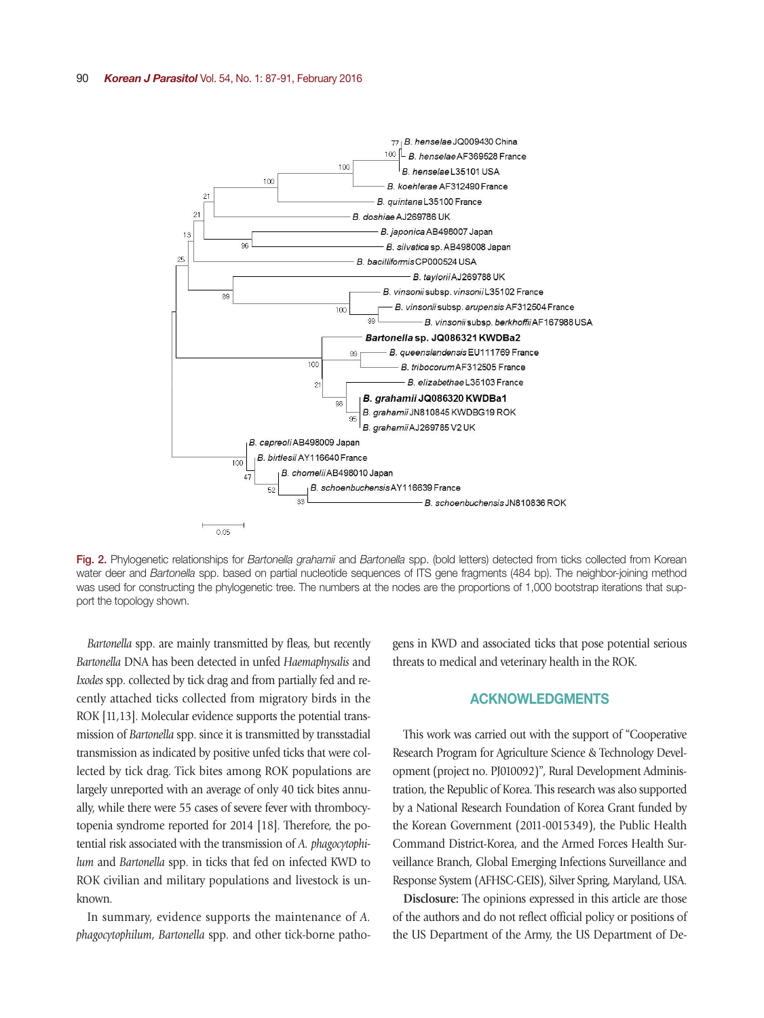

Fig. 2. Phylogenetic relationships for *Bartonella grahamii* and *Bartonella* spp. (bold letters) detected from ticks collected from Korean water deer and *Bartonella* spp. based on partial nucleotide sequences of ITS gene fragments (484 bp). The neighbor-joining method was used for constructing the phylogenetic tree. The numbers at the nodes are the proportions of 1,000 bootstrap iterations that support the topology shown.

*Bartonella* spp. are mainly transmitted by fleas, but recently *Bartonella* DNA has been detected in unfed *Haemaphysalis* and *Ixodes* spp. collected by tick drag and from partially fed and recently attached ticks collected from migratory birds in the ROK [11,13]. Molecular evidence supports the potential transmission of *Bartonella* spp. since it is transmitted by transstadial transmission as indicated by positive unfed ticks that were collected by tick drag. Tick bites among ROK populations are largely unreported with an average of only 40 tick bites annually, while there were 55 cases of severe fever with thrombocytopenia syndrome reported for 2014 [18]. Therefore, the potential risk associated with the transmission of *A. phagocytophilum* and *Bartonella* spp. in ticks that fed on infected KWD to ROK civilian and military populations and livestock is unknown.

In summary, evidence supports the maintenance of *A. phagocytophilum*, *Bartonella* spp. and other tick-borne pathogens in KWD and associated ticks that pose potential serious threats to medical and veterinary health in the ROK.

#### ACKNOWLEDGMENTS

This work was carried out with the support of "Cooperative Research Program for Agriculture Science & Technology Development (project no. PJ010092)", Rural Development Administration, the Republic of Korea. This research was also supported by a National Research Foundation of Korea Grant funded by the Korean Government (2011-0015349), the Public Health Command District-Korea, and the Armed Forces Health Surveillance Branch, Global Emerging Infections Surveillance and Response System (AFHSC-GEIS), Silver Spring, Maryland, USA.

**Disclosure:** The opinions expressed in this article are those of the authors and do not reflect official policy or positions of the US Department of the Army, the US Department of De